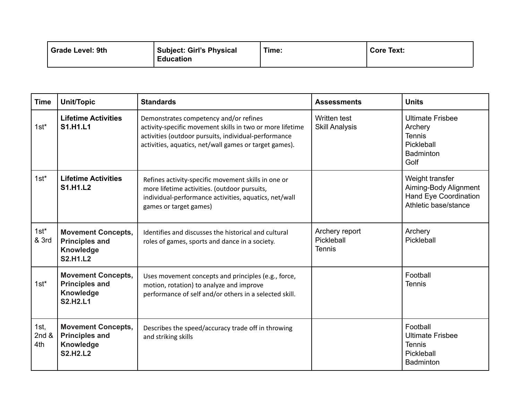| Grade Level: 9th | <b>Subject: Girl's Physical</b><br><b>Education</b> | Time: | <b>Core Text:</b> |
|------------------|-----------------------------------------------------|-------|-------------------|
|                  |                                                     |       |                   |

| <b>Time</b>                | Unit/Topic                                                                         | <b>Standards</b>                                                                                                                                                                                                      | <b>Assessments</b>                     | <b>Units</b>                                                                                  |
|----------------------------|------------------------------------------------------------------------------------|-----------------------------------------------------------------------------------------------------------------------------------------------------------------------------------------------------------------------|----------------------------------------|-----------------------------------------------------------------------------------------------|
| $1st^*$                    | <b>Lifetime Activities</b><br><b>S1.H1.L1</b>                                      | Demonstrates competency and/or refines<br>activity-specific movement skills in two or more lifetime<br>activities (outdoor pursuits, individual-performance<br>activities, aquatics, net/wall games or target games). | Written test<br><b>Skill Analysis</b>  | <b>Ultimate Frisbee</b><br>Archery<br><b>Tennis</b><br>Pickleball<br><b>Badminton</b><br>Golf |
| $1st^*$                    | <b>Lifetime Activities</b><br><b>S1.H1.L2</b>                                      | Refines activity-specific movement skills in one or<br>more lifetime activities. (outdoor pursuits,<br>individual-performance activities, aquatics, net/wall<br>games or target games)                                |                                        | Weight transfer<br>Aiming-Body Alignment<br>Hand Eye Coordination<br>Athletic base/stance     |
| $1st^*$<br>& 3rd           | <b>Movement Concepts,</b><br><b>Principles and</b><br>Knowledge<br><b>S2.H1.L2</b> | Identifies and discusses the historical and cultural<br>roles of games, sports and dance in a society.                                                                                                                | Archery report<br>Pickleball<br>Tennis | Archery<br>Pickleball                                                                         |
| $1st^*$                    | <b>Movement Concepts,</b><br><b>Principles and</b><br>Knowledge<br><b>S2.H2.L1</b> | Uses movement concepts and principles (e.g., force,<br>motion, rotation) to analyze and improve<br>performance of self and/or others in a selected skill.                                                             |                                        | Football<br><b>Tennis</b>                                                                     |
| $1st$ ,<br>2 $nd &$<br>4th | <b>Movement Concepts,</b><br><b>Principles and</b><br>Knowledge<br><b>S2.H2.L2</b> | Describes the speed/accuracy trade off in throwing<br>and striking skills                                                                                                                                             |                                        | Football<br><b>Ultimate Frisbee</b><br>Tennis<br>Pickleball<br><b>Badminton</b>               |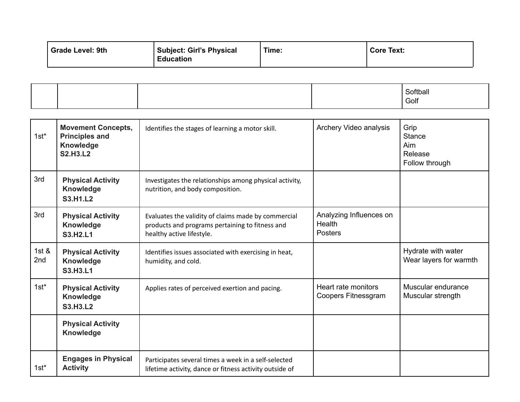| <sup>1</sup> Grade Level: 9th | <b>Subject: Girl's Physical</b><br><b>Education</b> | Time: | <b>Core Text:</b> |
|-------------------------------|-----------------------------------------------------|-------|-------------------|
|-------------------------------|-----------------------------------------------------|-------|-------------------|

|  |  | Softball |
|--|--|----------|
|  |  | Golf     |

| $1st^*$         | <b>Movement Concepts,</b><br><b>Principles and</b><br>Knowledge<br><b>S2.H3.L2</b> | Identifies the stages of learning a motor skill.                                                                                    | Archery Video analysis                                     | Grip<br><b>Stance</b><br>Aim<br>Release<br>Follow through |
|-----------------|------------------------------------------------------------------------------------|-------------------------------------------------------------------------------------------------------------------------------------|------------------------------------------------------------|-----------------------------------------------------------|
| 3rd             | <b>Physical Activity</b><br><b>Knowledge</b><br><b>S3.H1.L2</b>                    | Investigates the relationships among physical activity,<br>nutrition, and body composition.                                         |                                                            |                                                           |
| 3rd             | <b>Physical Activity</b><br><b>Knowledge</b><br><b>S3.H2.L1</b>                    | Evaluates the validity of claims made by commercial<br>products and programs pertaining to fitness and<br>healthy active lifestyle. | Analyzing Influences on<br><b>Health</b><br><b>Posters</b> |                                                           |
| 1st $\&$<br>2nd | <b>Physical Activity</b><br><b>Knowledge</b><br><b>S3.H3.L1</b>                    | Identifies issues associated with exercising in heat,<br>humidity, and cold.                                                        |                                                            | Hydrate with water<br>Wear layers for warmth              |
| $1st^*$         | <b>Physical Activity</b><br>Knowledge<br><b>S3.H3.L2</b>                           | Applies rates of perceived exertion and pacing.                                                                                     | <b>Heart rate monitors</b><br>Coopers Fitnessgram          | Muscular endurance<br>Muscular strength                   |
|                 | <b>Physical Activity</b><br><b>Knowledge</b>                                       |                                                                                                                                     |                                                            |                                                           |
| $1st^*$         | <b>Engages in Physical</b><br><b>Activity</b>                                      | Participates several times a week in a self-selected<br>lifetime activity, dance or fitness activity outside of                     |                                                            |                                                           |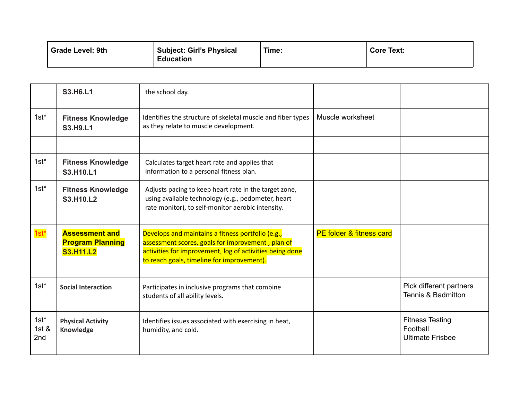| <b>Subject: Girl's Physical</b><br>Grade Level: 9th<br><b>Education</b> | Time: | <b>Core Text:</b> |
|-------------------------------------------------------------------------|-------|-------------------|
|-------------------------------------------------------------------------|-------|-------------------|

|                                        | <b>S3.H6.L1</b>                                                      | the school day.                                                                                                                                                                                                  |                          |                                                               |
|----------------------------------------|----------------------------------------------------------------------|------------------------------------------------------------------------------------------------------------------------------------------------------------------------------------------------------------------|--------------------------|---------------------------------------------------------------|
| $1st^*$                                | <b>Fitness Knowledge</b><br><b>S3.H9.L1</b>                          | Identifies the structure of skeletal muscle and fiber types<br>as they relate to muscle development.                                                                                                             | Muscle worksheet         |                                                               |
|                                        |                                                                      |                                                                                                                                                                                                                  |                          |                                                               |
| $1st^*$                                | <b>Fitness Knowledge</b><br><b>S3.H10.L1</b>                         | Calculates target heart rate and applies that<br>information to a personal fitness plan.                                                                                                                         |                          |                                                               |
| $1st^*$                                | <b>Fitness Knowledge</b><br><b>S3.H10.L2</b>                         | Adjusts pacing to keep heart rate in the target zone,<br>using available technology (e.g., pedometer, heart<br>rate monitor), to self-monitor aerobic intensity.                                                 |                          |                                                               |
| $1st*$                                 | <b>Assessment and</b><br><b>Program Planning</b><br><b>S3.H11.L2</b> | Develops and maintains a fitness portfolio (e.g.,<br>assessment scores, goals for improvement, plan of<br>activities for improvement, log of activities being done<br>to reach goals, timeline for improvement). | PE folder & fitness card |                                                               |
| $1st^*$                                | <b>Social Interaction</b>                                            | Participates in inclusive programs that combine<br>students of all ability levels.                                                                                                                               |                          | Pick different partners<br>Tennis & Badmitton                 |
| $1st^*$<br>1st $\&$<br>2 <sub>nd</sub> | <b>Physical Activity</b><br>Knowledge                                | Identifies issues associated with exercising in heat,<br>humidity, and cold.                                                                                                                                     |                          | <b>Fitness Testing</b><br>Football<br><b>Ultimate Frisbee</b> |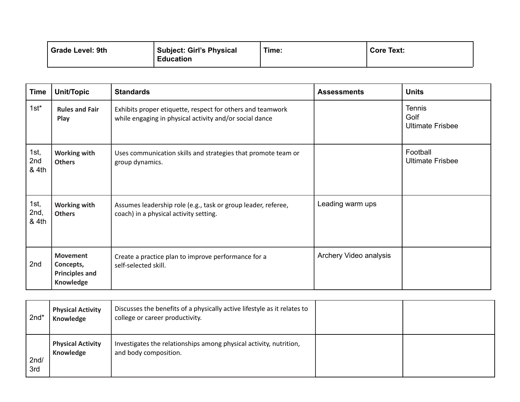| <b>Subject: Girl's Physical</b><br><sup>1</sup> Grade Level: 9th<br><b>Education</b> | Time: | <b>Core Text:</b> |  |
|--------------------------------------------------------------------------------------|-------|-------------------|--|
|--------------------------------------------------------------------------------------|-------|-------------------|--|

| <b>Time</b>           | Unit/Topic                                                         | <b>Standards</b>                                                                                                      | <b>Assessments</b>     | <b>Units</b>                              |
|-----------------------|--------------------------------------------------------------------|-----------------------------------------------------------------------------------------------------------------------|------------------------|-------------------------------------------|
| $1st^*$               | <b>Rules and Fair</b><br>Play                                      | Exhibits proper etiquette, respect for others and teamwork<br>while engaging in physical activity and/or social dance |                        | Tennis<br>Golf<br><b>Ultimate Frisbee</b> |
| 1st,<br>2nd<br>& 4th  | <b>Working with</b><br><b>Others</b>                               | Uses communication skills and strategies that promote team or<br>group dynamics.                                      |                        | Football<br><b>Ultimate Frisbee</b>       |
| 1st,<br>2nd,<br>& 4th | <b>Working with</b><br><b>Others</b>                               | Assumes leadership role (e.g., task or group leader, referee,<br>coach) in a physical activity setting.               | Leading warm ups       |                                           |
| 2nd                   | <b>Movement</b><br>Concepts,<br><b>Principles and</b><br>Knowledge | Create a practice plan to improve performance for a<br>self-selected skill.                                           | Archery Video analysis |                                           |

| $2nd*$      | <b>Physical Activity</b><br>Knowledge | Discusses the benefits of a physically active lifestyle as it relates to<br>college or career productivity. |  |
|-------------|---------------------------------------|-------------------------------------------------------------------------------------------------------------|--|
| 2nd/<br>3rd | <b>Physical Activity</b><br>Knowledge | Investigates the relationships among physical activity, nutrition,<br>and body composition.                 |  |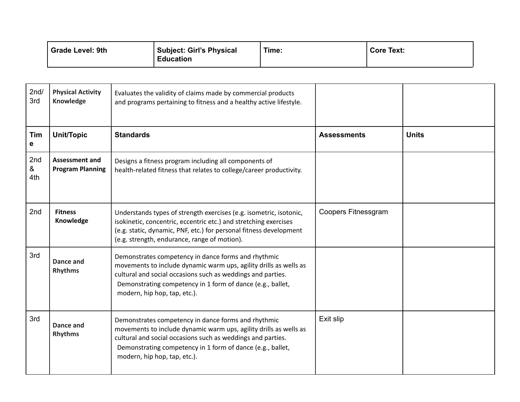| <b>Subject: Girl's Physical</b><br><b>Grade Level: 9th</b><br><b>Education</b> | Time: | <b>Core Text:</b> |
|--------------------------------------------------------------------------------|-------|-------------------|
|--------------------------------------------------------------------------------|-------|-------------------|

| 2nd/<br>3rd     | <b>Physical Activity</b><br>Knowledge            | Evaluates the validity of claims made by commercial products<br>and programs pertaining to fitness and a healthy active lifestyle.                                                                                                                                                    |                     |              |
|-----------------|--------------------------------------------------|---------------------------------------------------------------------------------------------------------------------------------------------------------------------------------------------------------------------------------------------------------------------------------------|---------------------|--------------|
| Tim<br>е        | <b>Unit/Topic</b>                                | <b>Standards</b>                                                                                                                                                                                                                                                                      | <b>Assessments</b>  | <b>Units</b> |
| 2nd<br>&<br>4th | <b>Assessment and</b><br><b>Program Planning</b> | Designs a fitness program including all components of<br>health-related fitness that relates to college/career productivity.                                                                                                                                                          |                     |              |
| 2nd             | <b>Fitness</b><br>Knowledge                      | Understands types of strength exercises (e.g. isometric, isotonic,<br>isokinetic, concentric, eccentric etc.) and stretching exercises<br>(e.g. static, dynamic, PNF, etc.) for personal fitness development<br>(e.g. strength, endurance, range of motion).                          | Coopers Fitnessgram |              |
| 3rd             | Dance and<br><b>Rhythms</b>                      | Demonstrates competency in dance forms and rhythmic<br>movements to include dynamic warm ups, agility drills as wells as<br>cultural and social occasions such as weddings and parties.<br>Demonstrating competency in 1 form of dance (e.g., ballet,<br>modern, hip hop, tap, etc.). |                     |              |
| 3rd             | Dance and<br><b>Rhythms</b>                      | Demonstrates competency in dance forms and rhythmic<br>movements to include dynamic warm ups, agility drills as wells as<br>cultural and social occasions such as weddings and parties.<br>Demonstrating competency in 1 form of dance (e.g., ballet,<br>modern, hip hop, tap, etc.). | Exit slip           |              |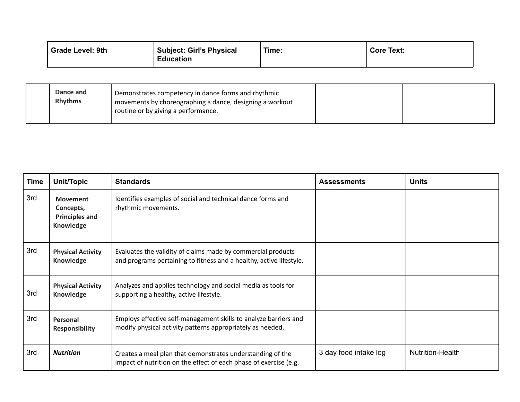| <b>Grade Level: 9th</b> | <b>Subject: Girl's Physical</b><br><b>Education</b> | Time: | <b>Core Text:</b> |
|-------------------------|-----------------------------------------------------|-------|-------------------|
|-------------------------|-----------------------------------------------------|-------|-------------------|

| Dance and<br><b>Rhythms</b> | Demonstrates competency in dance forms and rhythmic<br>movements by choreographing a dance, designing a workout<br>routine or by giving a performance. |  |
|-----------------------------|--------------------------------------------------------------------------------------------------------------------------------------------------------|--|
|                             |                                                                                                                                                        |  |

| <b>Time</b> | Unit/Topic                                                         | <b>Standards</b>                                                                                                                    | <b>Assessments</b>    | <b>Units</b>            |
|-------------|--------------------------------------------------------------------|-------------------------------------------------------------------------------------------------------------------------------------|-----------------------|-------------------------|
| 3rd         | <b>Movement</b><br>Concepts,<br><b>Principles and</b><br>Knowledge | Identifies examples of social and technical dance forms and<br>rhythmic movements.                                                  |                       |                         |
| 3rd         | <b>Physical Activity</b><br>Knowledge                              | Evaluates the validity of claims made by commercial products<br>and programs pertaining to fitness and a healthy, active lifestyle. |                       |                         |
| 3rd         | <b>Physical Activity</b><br>Knowledge                              | Analyzes and applies technology and social media as tools for<br>supporting a healthy, active lifestyle.                            |                       |                         |
| 3rd         | Personal<br><b>Responsibility</b>                                  | Employs effective self-management skills to analyze barriers and<br>modify physical activity patterns appropriately as needed.      |                       |                         |
| 3rd         | <b>Nutrition</b>                                                   | Creates a meal plan that demonstrates understanding of the<br>impact of nutrition on the effect of each phase of exercise (e.g.     | 3 day food intake log | <b>Nutrition-Health</b> |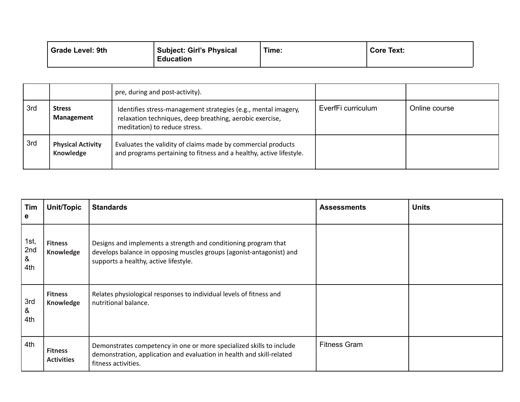| I Grade Level: 9th | <b>Subject: Girl's Physical</b><br><b>Education</b> | Time: | <b>Core Text:</b> |
|--------------------|-----------------------------------------------------|-------|-------------------|
|--------------------|-----------------------------------------------------|-------|-------------------|

|     |                                       | pre, during and post-activity).                                                                                                                             |                    |               |
|-----|---------------------------------------|-------------------------------------------------------------------------------------------------------------------------------------------------------------|--------------------|---------------|
| 3rd | <b>Stress</b><br><b>Management</b>    | Identifies stress-management strategies (e.g., mental imagery,<br>relaxation techniques, deep breathing, aerobic exercise,<br>meditation) to reduce stress. | EverfFi curriculum | Online course |
| 3rd | <b>Physical Activity</b><br>Knowledge | Evaluates the validity of claims made by commercial products<br>and programs pertaining to fitness and a healthy, active lifestyle.                         |                    |               |

| Tim<br>e                | <b>Unit/Topic</b>                   | <b>Standards</b>                                                                                                                                                                 | <b>Assessments</b>  | <b>Units</b> |
|-------------------------|-------------------------------------|----------------------------------------------------------------------------------------------------------------------------------------------------------------------------------|---------------------|--------------|
| 1st,<br>2nd<br>&<br>4th | <b>Fitness</b><br>Knowledge         | Designs and implements a strength and conditioning program that<br>develops balance in opposing muscles groups (agonist-antagonist) and<br>supports a healthy, active lifestyle. |                     |              |
| 3rd<br>&<br>4th         | <b>Fitness</b><br>Knowledge         | Relates physiological responses to individual levels of fitness and<br>nutritional balance.                                                                                      |                     |              |
| 4th                     | <b>Fitness</b><br><b>Activities</b> | Demonstrates competency in one or more specialized skills to include<br>demonstration, application and evaluation in health and skill-related<br>fitness activities.             | <b>Fitness Gram</b> |              |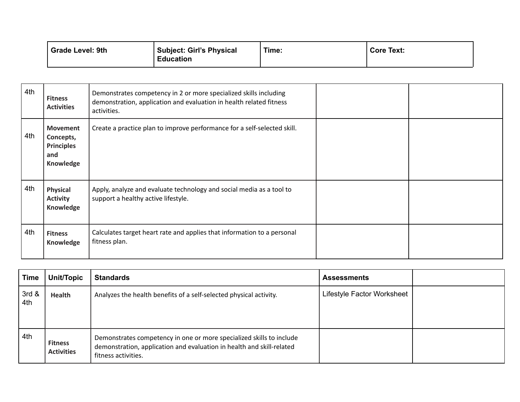| <b>Subject: Girl's Physical</b><br>' Grade Level: 9th<br>Education | Time: | <b>Core Text:</b> |
|--------------------------------------------------------------------|-------|-------------------|
|--------------------------------------------------------------------|-------|-------------------|

| 4th | <b>Fitness</b><br><b>Activities</b>                                   | Demonstrates competency in 2 or more specialized skills including<br>demonstration, application and evaluation in health related fitness<br>activities. |  |
|-----|-----------------------------------------------------------------------|---------------------------------------------------------------------------------------------------------------------------------------------------------|--|
| 4th | <b>Movement</b><br>Concepts,<br><b>Principles</b><br>and<br>Knowledge | Create a practice plan to improve performance for a self-selected skill.                                                                                |  |
| 4th | Physical<br><b>Activity</b><br>Knowledge                              | Apply, analyze and evaluate technology and social media as a tool to<br>support a healthy active lifestyle.                                             |  |
| 4th | <b>Fitness</b><br>Knowledge                                           | Calculates target heart rate and applies that information to a personal<br>fitness plan.                                                                |  |

| <b>Time</b>  | Unit/Topic                          | <b>Standards</b>                                                                                                                                                     | <b>Assessments</b>         |  |
|--------------|-------------------------------------|----------------------------------------------------------------------------------------------------------------------------------------------------------------------|----------------------------|--|
| 3rd &<br>4th | Health                              | Analyzes the health benefits of a self-selected physical activity.                                                                                                   | Lifestyle Factor Worksheet |  |
| 4th          | <b>Fitness</b><br><b>Activities</b> | Demonstrates competency in one or more specialized skills to include<br>demonstration, application and evaluation in health and skill-related<br>fitness activities. |                            |  |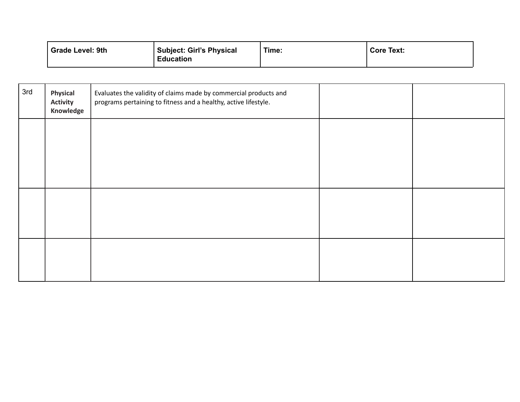| <b>Grade Level: 9th</b> | <b>Subject: Girl's Physical</b><br><b>Education</b> | Time: | Core Text: |
|-------------------------|-----------------------------------------------------|-------|------------|
|                         |                                                     |       |            |

| 3rd | Physical<br><b>Activity</b><br>Knowledge | Evaluates the validity of claims made by commercial products and<br>programs pertaining to fitness and a healthy, active lifestyle. |  |
|-----|------------------------------------------|-------------------------------------------------------------------------------------------------------------------------------------|--|
|     |                                          |                                                                                                                                     |  |
|     |                                          |                                                                                                                                     |  |
|     |                                          |                                                                                                                                     |  |
|     |                                          |                                                                                                                                     |  |
|     |                                          |                                                                                                                                     |  |
|     |                                          |                                                                                                                                     |  |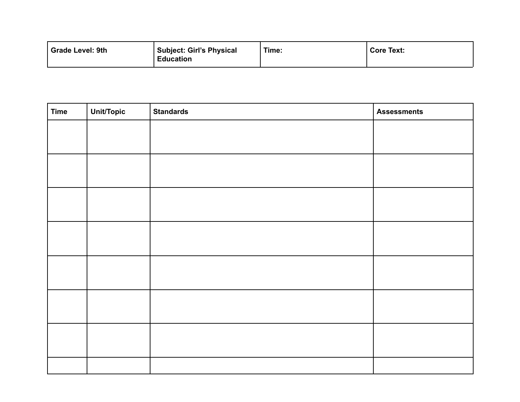| <sup>'</sup> Grade Level: 9th | <b>Subject: Girl's Physical</b><br><b>Education</b> | Time: | <b>Core Text:</b> |
|-------------------------------|-----------------------------------------------------|-------|-------------------|
|                               |                                                     |       |                   |

| <b>Time</b> | Unit/Topic | <b>Standards</b> | <b>Assessments</b> |
|-------------|------------|------------------|--------------------|
|             |            |                  |                    |
|             |            |                  |                    |
|             |            |                  |                    |
|             |            |                  |                    |
|             |            |                  |                    |
|             |            |                  |                    |
|             |            |                  |                    |
|             |            |                  |                    |
|             |            |                  |                    |
|             |            |                  |                    |
|             |            |                  |                    |
|             |            |                  |                    |
|             |            |                  |                    |
|             |            |                  |                    |
|             |            |                  |                    |